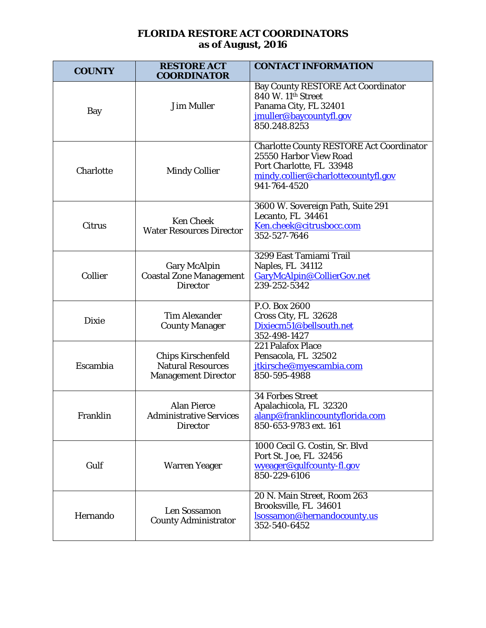## **FLORIDA RESTORE ACT COORDINATORS as of August, 2016**

| <b>COUNTY</b> | <b>RESTORE ACT</b><br><b>COORDINATOR</b>                                            | <b>CONTACT INFORMATION</b>                                                                                                                                   |
|---------------|-------------------------------------------------------------------------------------|--------------------------------------------------------------------------------------------------------------------------------------------------------------|
| Bay           | <b>Jim Muller</b>                                                                   | <b>Bay County RESTORE Act Coordinator</b><br>840 W. 11th Street<br>Panama City, FL 32401<br>jmuller@baycountyfl.gov<br>850.248.8253                          |
| Charlotte     | <b>Mindy Collier</b>                                                                | <b>Charlotte County RESTORE Act Coordinator</b><br>25550 Harbor View Road<br>Port Charlotte, FL 33948<br>mindy.collier@charlottecountyfl.gov<br>941-764-4520 |
| Citrus        | <b>Ken Cheek</b><br><b>Water Resources Director</b>                                 | 3600 W. Sovereign Path, Suite 291<br>Lecanto, FL 34461<br>Ken.cheek@citrusbocc.com<br>352-527-7646                                                           |
| Collier       | <b>Gary McAlpin</b><br><b>Coastal Zone Management</b><br><b>Director</b>            | 3299 East Tamiami Trail<br>Naples, FL 34112<br>GaryMcAlpin@CollierGov.net<br>239-252-5342                                                                    |
| <b>Dixie</b>  | <b>Tim Alexander</b><br><b>County Manager</b>                                       | P.O. Box 2600<br>Cross City, FL 32628<br>Dixiecm51@bellsouth.net<br>352-498-1427                                                                             |
| Escambia      | <b>Chips Kirschenfeld</b><br><b>Natural Resources</b><br><b>Management Director</b> | 221 Palafox Place<br>Pensacola, FL 32502<br>jtkirsche@myescambia.com<br>850-595-4988                                                                         |
| Franklin      | <b>Alan Pierce</b><br><b>Administrative Services</b><br><b>Director</b>             | <b>34 Forbes Street</b><br>Apalachicola, FL 32320<br>alanp@franklincountyflorida.com<br>850-653-9783 ext. 161                                                |
| Gulf          | <b>Warren Yeager</b>                                                                | 1000 Cecil G. Costin, Sr. Blvd<br>Port St. Joe, FL 32456<br>wyeager@gulfcounty-fl.gov<br>850-229-6106                                                        |
| Hernando      | Len Sossamon<br><b>County Administrator</b>                                         | 20 N. Main Street, Room 263<br>Brooksville, FL 34601<br>lsossamon@hernandocounty.us<br>352-540-6452                                                          |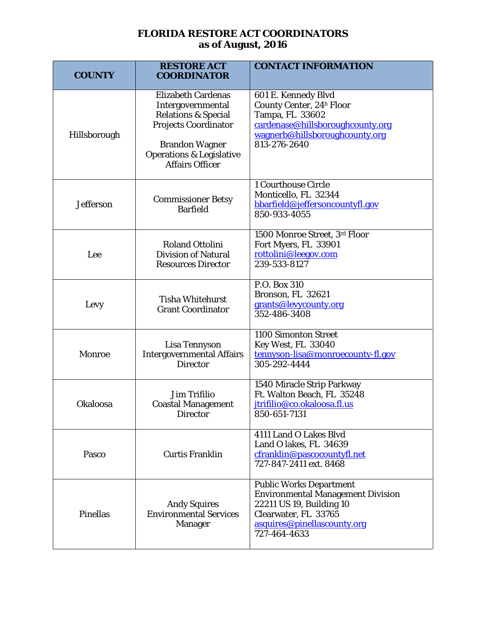## **FLORIDA RESTORE ACT COORDINATORS as of August, 2016**

| <b>COUNTY</b>    | <b>RESTORE ACT</b><br><b>COORDINATOR</b>                                                                                                                                                                  | <b>CONTACT INFORMATION</b>                                                                                                                                                    |
|------------------|-----------------------------------------------------------------------------------------------------------------------------------------------------------------------------------------------------------|-------------------------------------------------------------------------------------------------------------------------------------------------------------------------------|
| Hillsborough     | <b>Elizabeth Cardenas</b><br>Intergovernmental<br><b>Relations &amp; Special</b><br><b>Projects Coordinator</b><br><b>Brandon Wagner</b><br><b>Operations &amp; Legislative</b><br><b>Affairs Officer</b> | 601 E. Kennedy Blvd<br>County Center, 24h Floor<br>Tampa, FL 33602<br>cardenase@hillsboroughcounty.org<br>wagnerb@hillsboroughcounty.org<br>813-276-2640                      |
| <b>Jefferson</b> | <b>Commissioner Betsy</b><br><b>Barfield</b>                                                                                                                                                              | 1 Courthouse Circle<br>Monticello, FL 32344<br>bbarfield@jeffersoncountyfl.gov<br>850-933-4055                                                                                |
| Lee              | <b>Roland Ottolini</b><br><b>Division of Natural</b><br><b>Resources Director</b>                                                                                                                         | 1500 Monroe Street, 3rd Floor<br>Fort Myers, FL 33901<br>rottolini@leegov.com<br>239-533-8127                                                                                 |
| Levy             | <b>Tisha Whitehurst</b><br><b>Grant Coordinator</b>                                                                                                                                                       | P.O. Box 310<br>Bronson, FL 32621<br>grants@levycounty.org<br>352-486-3408                                                                                                    |
| Monroe           | Lisa Tennyson<br><b>Intergovernmental Affairs</b><br><b>Director</b>                                                                                                                                      | 1100 Simonton Street<br>Key West, FL 33040<br>tennyson-lisa@monroecounty-fl.gov<br>305-292-4444                                                                               |
| <b>Okaloosa</b>  | <b>Jim Trifilio</b><br><b>Coastal Management</b><br>Director                                                                                                                                              | 1540 Miracle Strip Parkway<br>Ft. Walton Beach, FL 35248<br>jtrifilio@co.okaloosa.fl.us<br>850-651-7131                                                                       |
| Pasco            | <b>Curtis Franklin</b>                                                                                                                                                                                    | 4111 Land O Lakes Blvd<br>Land O lakes, FL 34639<br>cfranklin@pascocountyfl.net<br>727-847-2411 ext. 8468                                                                     |
| <b>Pinellas</b>  | <b>Andy Squires</b><br><b>Environmental Services</b><br><b>Manager</b>                                                                                                                                    | <b>Public Works Department</b><br><b>Environmental Management Division</b><br>22211 US 19, Building 10<br>Clearwater, FL 33765<br>asquires@pinellascounty.org<br>727-464-4633 |